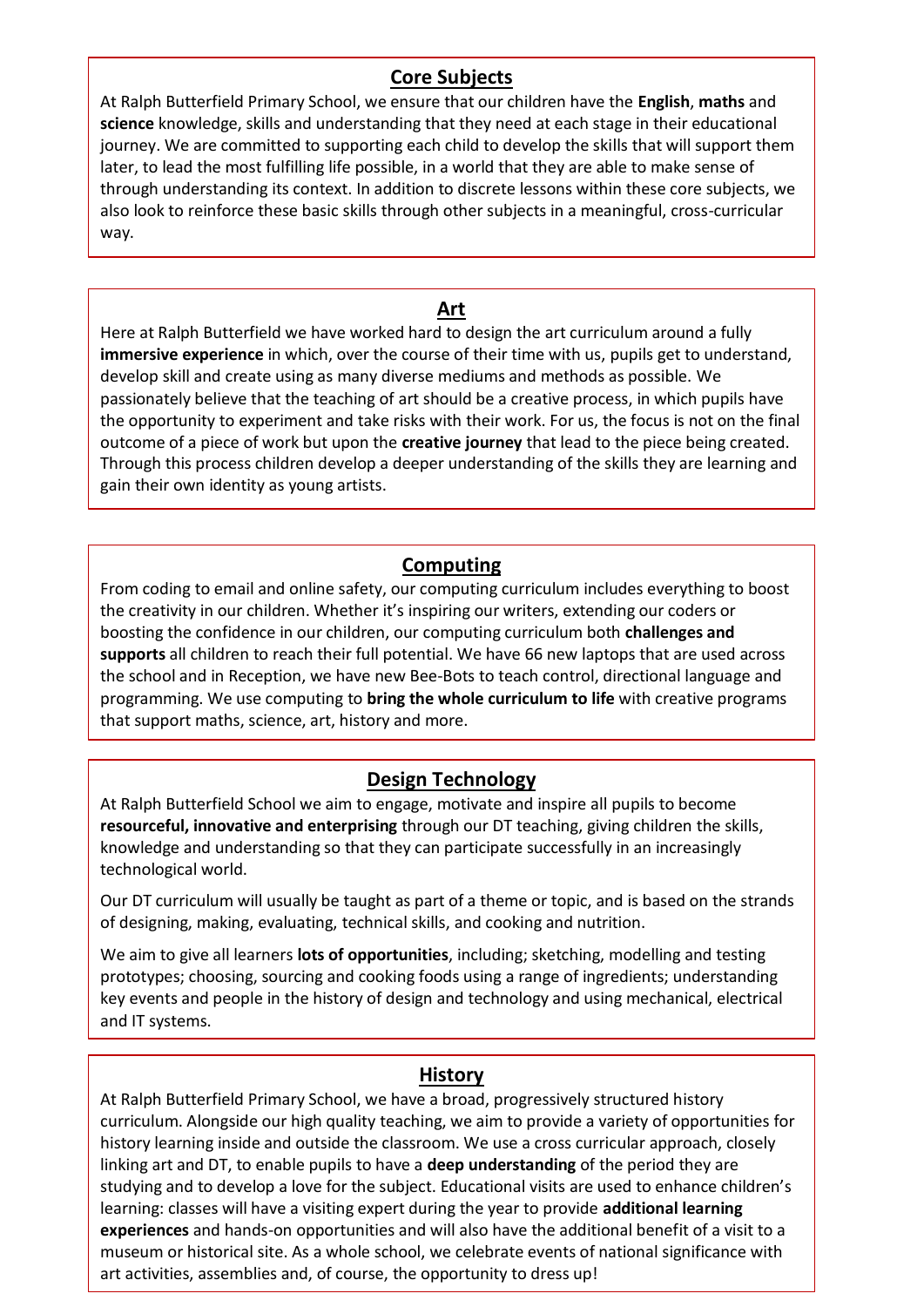### **Core Subjects**

At Ralph Butterfield Primary School, we ensure that our children have the **English**, **maths** and **science** knowledge, skills and understanding that they need at each stage in their educational journey. We are committed to supporting each child to develop the skills that will support them later, to lead the most fulfilling life possible, in a world that they are able to make sense of through understanding its context. In addition to discrete lessons within these core subjects, we also look to reinforce these basic skills through other subjects in a meaningful, cross-curricular way.

#### **Art**

Here at Ralph Butterfield we have worked hard to design the art curriculum around a fully **immersive experience** in which, over the course of their time with us, pupils get to understand, develop skill and create using as many diverse mediums and methods as possible. We passionately believe that the teaching of art should be a creative process, in which pupils have the opportunity to experiment and take risks with their work. For us, the focus is not on the final outcome of a piece of work but upon the **creative journey** that lead to the piece being created. Through this process children develop a deeper understanding of the skills they are learning and gain their own identity as young artists.

#### **Computing**

From coding to email and online safety, our computing curriculum includes everything to boost the creativity in our children. Whether it's inspiring our writers, extending our coders or boosting the confidence in our children, our computing curriculum both **challenges and supports** all children to reach their full potential. We have 66 new laptops that are used across the school and in Reception, we have new Bee-Bots to teach control, directional language and programming. We use computing to **bring the whole curriculum to life** with creative programs that support maths, science, art, history and more.

# **Design Technology**

At Ralph Butterfield School we aim to engage, motivate and inspire all pupils to become **resourceful, innovative and enterprising** through our DT teaching, giving children the skills, knowledge and understanding so that they can participate successfully in an increasingly technological world.

Our DT curriculum will usually be taught as part of a theme or topic, and is based on the strands of designing, making, evaluating, technical skills, and cooking and nutrition.

key events and<br>and IT systems. We aim to give all learners **lots of opportunities**, including; sketching, modelling and testing prototypes; choosing, sourcing and cooking foods using a range of ingredients; understanding key events and people in the history of design and technology and using mechanical, electrical

#### **History**

At Ralph Butterfield Primary School, we have a broad, progressively structured history curriculum. Alongside our high quality teaching, we aim to provide a variety of opportunities for history learning inside and outside the classroom. We use a cross curricular approach, closely linking art and DT, to enable pupils to have a **deep understanding** of the period they are studying and to develop a love for the subject. Educational visits are used to enhance children's learning: classes will have a visiting expert during the year to provide **additional learning experiences** and hands-on opportunities and will also have the additional benefit of a visit to a museum or historical site. As a whole school, we celebrate events of national significance with art activities, assemblies and, of course, the opportunity to dress up!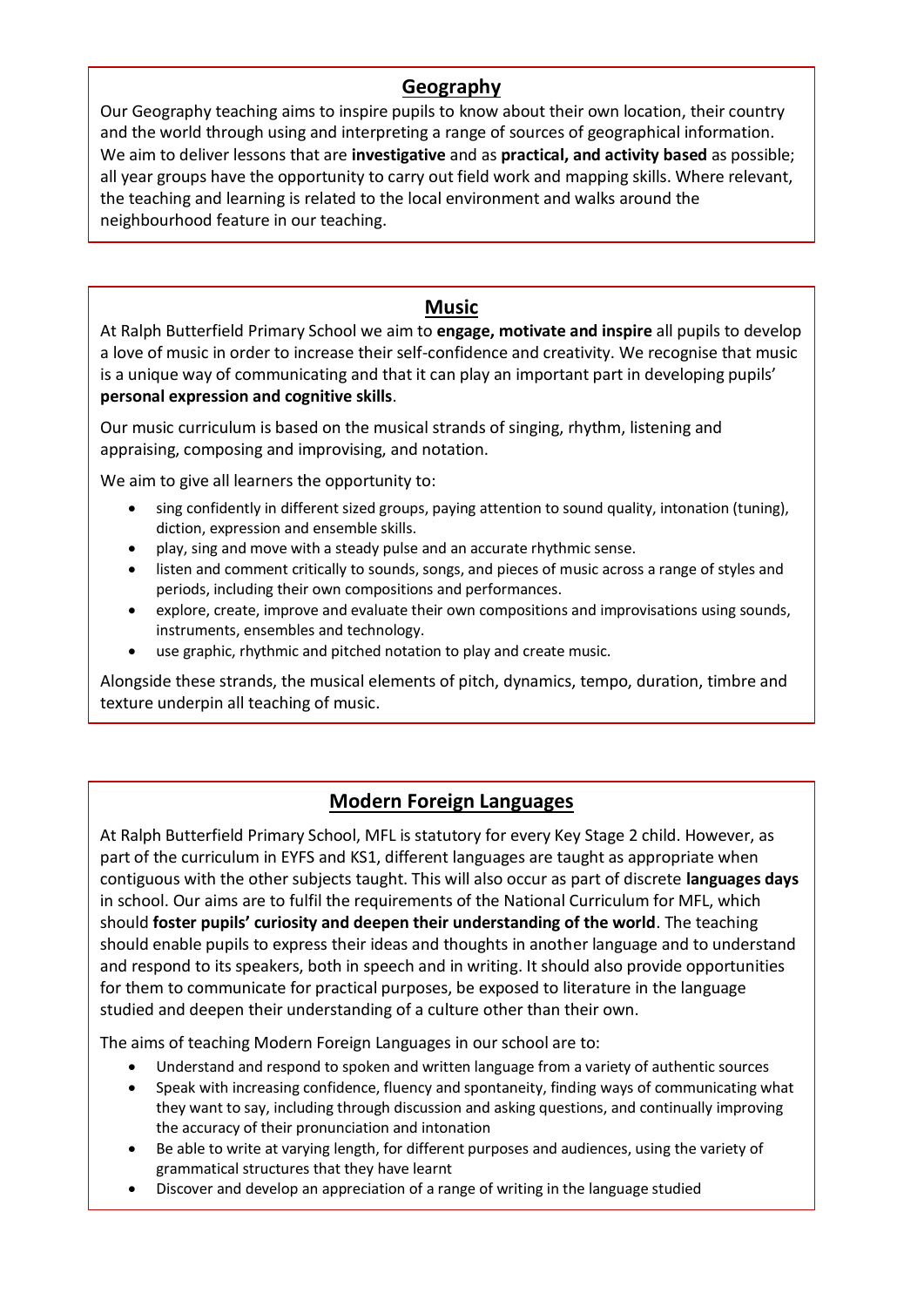### **Geography**

Our Geography teaching aims to inspire pupils to know about their own location, their country and the world through using and interpreting a range of sources of geographical information. We aim to deliver lessons that are **investigative** and as **practical, and activity based** as possible; all year groups have the opportunity to carry out field work and mapping skills. Where relevant, the teaching and learning is related to the local environment and walks around the neighbourhood feature in our teaching.

### **Music**

At Ralph Butterfield Primary School we aim to **engage, motivate and inspire** all pupils to develop a love of music in order to increase their self-confidence and creativity. We recognise that music is a unique way of communicating and that it can play an important part in developing pupils' **personal expression and cognitive skills**.

Our music curriculum is based on the musical strands of singing, rhythm, listening and appraising, composing and improvising, and notation.

We aim to give all learners the opportunity to:

- sing confidently in different sized groups, paying attention to sound quality, intonation (tuning), diction, expression and ensemble skills.
- play, sing and move with a steady pulse and an accurate rhythmic sense.
- listen and comment critically to sounds, songs, and pieces of music across a range of styles and periods, including their own compositions and performances.
- explore, create, improve and evaluate their own compositions and improvisations using sounds, instruments, ensembles and technology.
- use graphic, rhythmic and pitched notation to play and create music.

Alongside these strands, the musical elements of pitch, dynamics, tempo, duration, timbre and texture underpin all teaching of music.

# **Modern Foreign Languages**

At Ralph Butterfield Primary School, MFL is statutory for every Key Stage 2 child. However, as part of the curriculum in EYFS and KS1, different languages are taught as appropriate when contiguous with the other subjects taught. This will also occur as part of discrete **languages days** in school. Our aims are to fulfil the requirements of the National Curriculum for MFL, which should **foster pupils' curiosity and deepen their understanding of the world**. The teaching should enable pupils to express their ideas and thoughts in another language and to understand and respond to its speakers, both in speech and in writing. It should also provide opportunities for them to communicate for practical purposes, be exposed to literature in the language studied and deepen their understanding of a culture other than their own.

The aims of teaching Modern Foreign Languages in our school are to:

- Understand and respond to spoken and written language from a variety of authentic sources
- Speak with increasing confidence, fluency and spontaneity, finding ways of communicating what they want to say, including through discussion and asking questions, and continually improving the accuracy of their pronunciation and intonation
- Be able to write at varying length, for different purposes and audiences, using the variety of grammatical structures that they have learnt
- Discover and develop an appreciation of a range of writing in the language studied